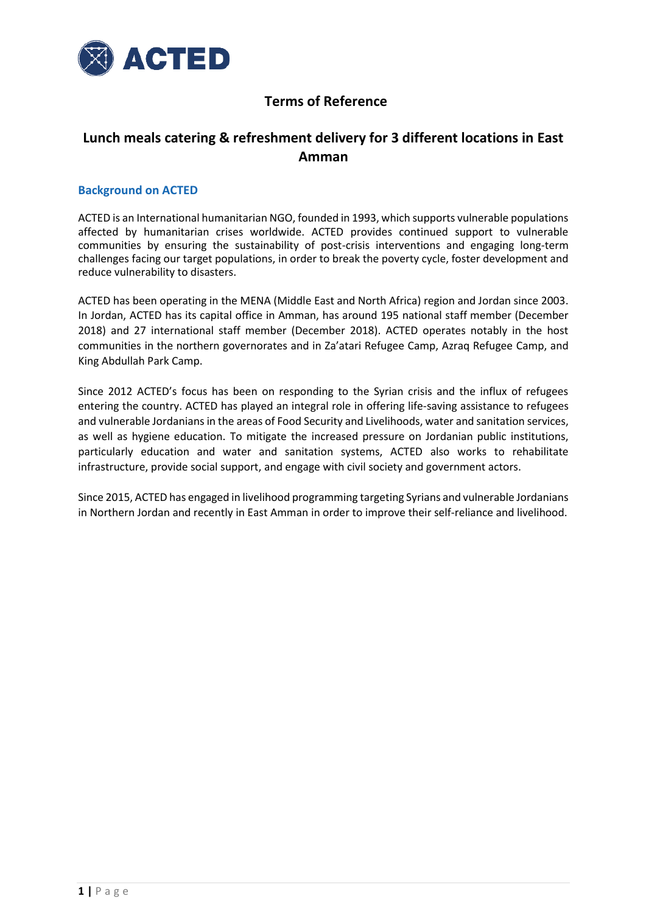

### **Terms of Reference**

### **Lunch meals catering & refreshment delivery for 3 different locations in East Amman**

#### **Background on ACTED**

ACTED is an International humanitarian NGO, founded in 1993, which supports vulnerable populations affected by humanitarian crises worldwide. ACTED provides continued support to vulnerable communities by ensuring the sustainability of post-crisis interventions and engaging long-term challenges facing our target populations, in order to break the poverty cycle, foster development and reduce vulnerability to disasters.

ACTED has been operating in the MENA (Middle East and North Africa) region and Jordan since 2003. In Jordan, ACTED has its capital office in Amman, has around 195 national staff member (December 2018) and 27 international staff member (December 2018). ACTED operates notably in the host communities in the northern governorates and in Za'atari Refugee Camp, Azraq Refugee Camp, and King Abdullah Park Camp.

Since 2012 ACTED's focus has been on responding to the Syrian crisis and the influx of refugees entering the country. ACTED has played an integral role in offering life-saving assistance to refugees and vulnerable Jordanians in the areas of Food Security and Livelihoods, water and sanitation services, as well as hygiene education. To mitigate the increased pressure on Jordanian public institutions, particularly education and water and sanitation systems, ACTED also works to rehabilitate infrastructure, provide social support, and engage with civil society and government actors.

Since 2015, ACTED has engaged in livelihood programming targeting Syrians and vulnerable Jordanians in Northern Jordan and recently in East Amman in order to improve their self-reliance and livelihood.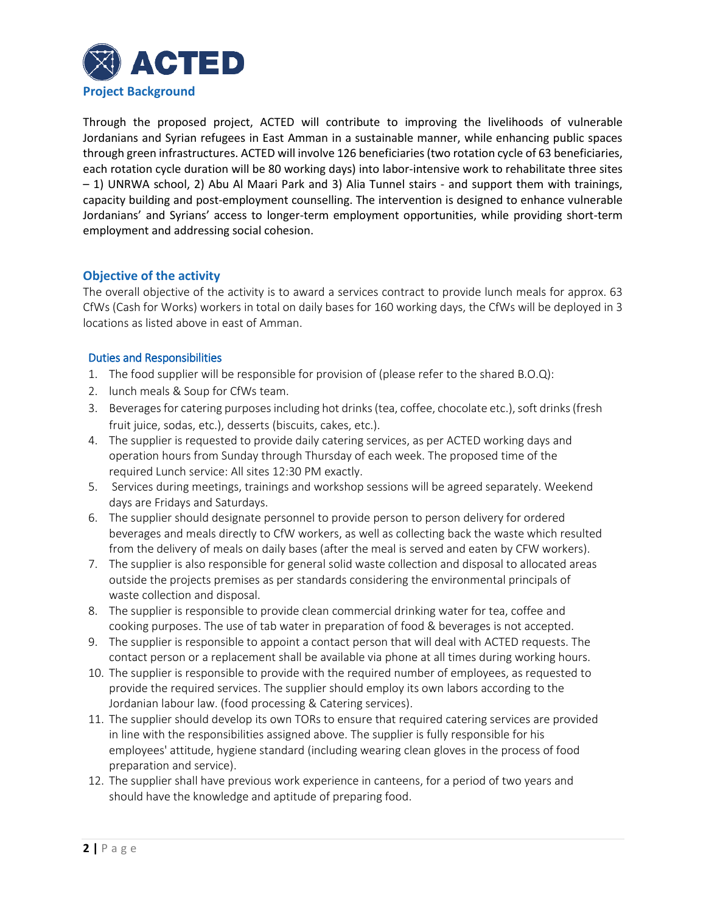

Through the proposed project, ACTED will contribute to improving the livelihoods of vulnerable Jordanians and Syrian refugees in East Amman in a sustainable manner, while enhancing public spaces through green infrastructures. ACTED will involve 126 beneficiaries(two rotation cycle of 63 beneficiaries, each rotation cycle duration will be 80 working days) into labor-intensive work to rehabilitate three sites – 1) UNRWA school, 2) Abu Al Maari Park and 3) Alia Tunnel stairs - and support them with trainings, capacity building and post-employment counselling. The intervention is designed to enhance vulnerable Jordanians' and Syrians' access to longer-term employment opportunities, while providing short-term employment and addressing social cohesion.

#### **Objective of the activity**

The overall objective of the activity is to award a services contract to provide lunch meals for approx. 63 CfWs (Cash for Works) workers in total on daily bases for 160 working days, the CfWs will be deployed in 3 locations as listed above in east of Amman.

#### Duties and Responsibilities

- 1. The food supplier will be responsible for provision of (please refer to the shared B.O.Q):
- 2. lunch meals & Soup for CfWs team.
- 3. Beverages for catering purposes including hot drinks (tea, coffee, chocolate etc.), soft drinks (fresh fruit juice, sodas, etc.), desserts (biscuits, cakes, etc.).
- 4. The supplier is requested to provide daily catering services, as per ACTED working days and operation hours from Sunday through Thursday of each week. The proposed time of the required Lunch service: All sites 12:30 PM exactly.
- 5. Services during meetings, trainings and workshop sessions will be agreed separately. Weekend days are Fridays and Saturdays.
- 6. The supplier should designate personnel to provide person to person delivery for ordered beverages and meals directly to CfW workers, as well as collecting back the waste which resulted from the delivery of meals on daily bases (after the meal is served and eaten by CFW workers).
- 7. The supplier is also responsible for general solid waste collection and disposal to allocated areas outside the projects premises as per standards considering the environmental principals of waste collection and disposal.
- 8. The supplier is responsible to provide clean commercial drinking water for tea, coffee and cooking purposes. The use of tab water in preparation of food & beverages is not accepted.
- 9. The supplier is responsible to appoint a contact person that will deal with ACTED requests. The contact person or a replacement shall be available via phone at all times during working hours.
- 10. The supplier is responsible to provide with the required number of employees, as requested to provide the required services. The supplier should employ its own labors according to the Jordanian labour law. (food processing & Catering services).
- 11. The supplier should develop its own TORs to ensure that required catering services are provided in line with the responsibilities assigned above. The supplier is fully responsible for his employees' attitude, hygiene standard (including wearing clean gloves in the process of food preparation and service).
- 12. The supplier shall have previous work experience in canteens, for a period of two years and should have the knowledge and aptitude of preparing food.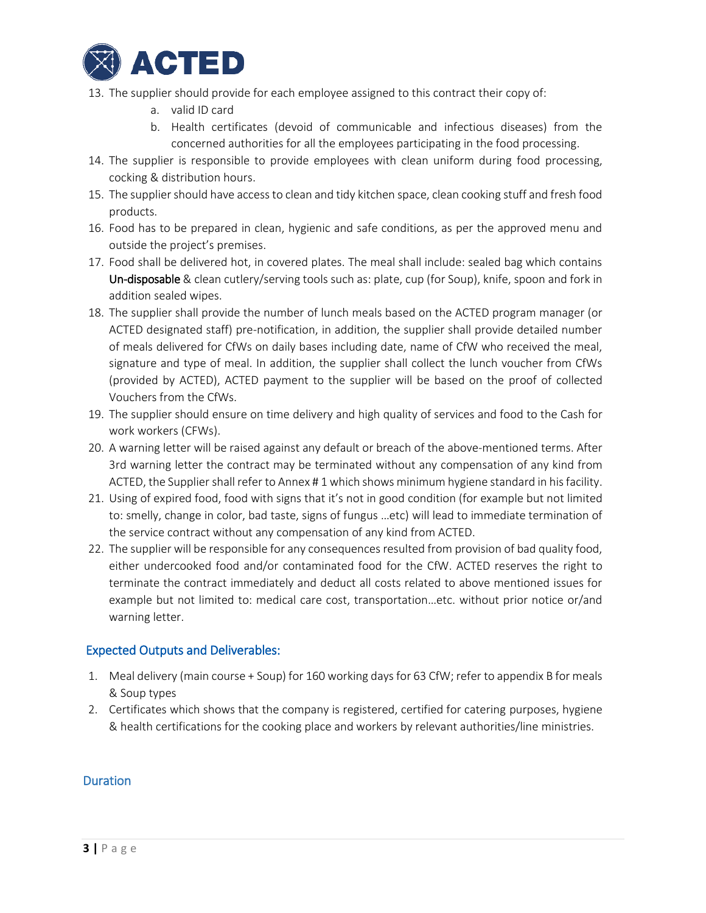

- 13. The supplier should provide for each employee assigned to this contract their copy of:
	- a. valid ID card
	- b. Health certificates (devoid of communicable and infectious diseases) from the concerned authorities for all the employees participating in the food processing.
- 14. The supplier is responsible to provide employees with clean uniform during food processing, cocking & distribution hours.
- 15. The supplier should have access to clean and tidy kitchen space, clean cooking stuff and fresh food products.
- 16. Food has to be prepared in clean, hygienic and safe conditions, as per the approved menu and outside the project's premises.
- 17. Food shall be delivered hot, in covered plates. The meal shall include: sealed bag which contains Un-disposable & clean cutlery/serving tools such as: plate, cup (for Soup), knife, spoon and fork in addition sealed wipes.
- 18. The supplier shall provide the number of lunch meals based on the ACTED program manager (or ACTED designated staff) pre-notification, in addition, the supplier shall provide detailed number of meals delivered for CfWs on daily bases including date, name of CfW who received the meal, signature and type of meal. In addition, the supplier shall collect the lunch voucher from CfWs (provided by ACTED), ACTED payment to the supplier will be based on the proof of collected Vouchers from the CfWs.
- 19. The supplier should ensure on time delivery and high quality of services and food to the Cash for work workers (CFWs).
- 20. A warning letter will be raised against any default or breach of the above-mentioned terms. After 3rd warning letter the contract may be terminated without any compensation of any kind from ACTED, the Supplier shall refer to Annex # 1 which shows minimum hygiene standard in his facility.
- 21. Using of expired food, food with signs that it's not in good condition (for example but not limited to: smelly, change in color, bad taste, signs of fungus …etc) will lead to immediate termination of the service contract without any compensation of any kind from ACTED.
- 22. The supplier will be responsible for any consequences resulted from provision of bad quality food, either undercooked food and/or contaminated food for the CfW. ACTED reserves the right to terminate the contract immediately and deduct all costs related to above mentioned issues for example but not limited to: medical care cost, transportation…etc. without prior notice or/and warning letter.

#### Expected Outputs and Deliverables:

- 1. Meal delivery (main course + Soup) for 160 working days for 63 CfW; refer to appendix B for meals & Soup types
- 2. Certificates which shows that the company is registered, certified for catering purposes, hygiene & health certifications for the cooking place and workers by relevant authorities/line ministries.

#### Duration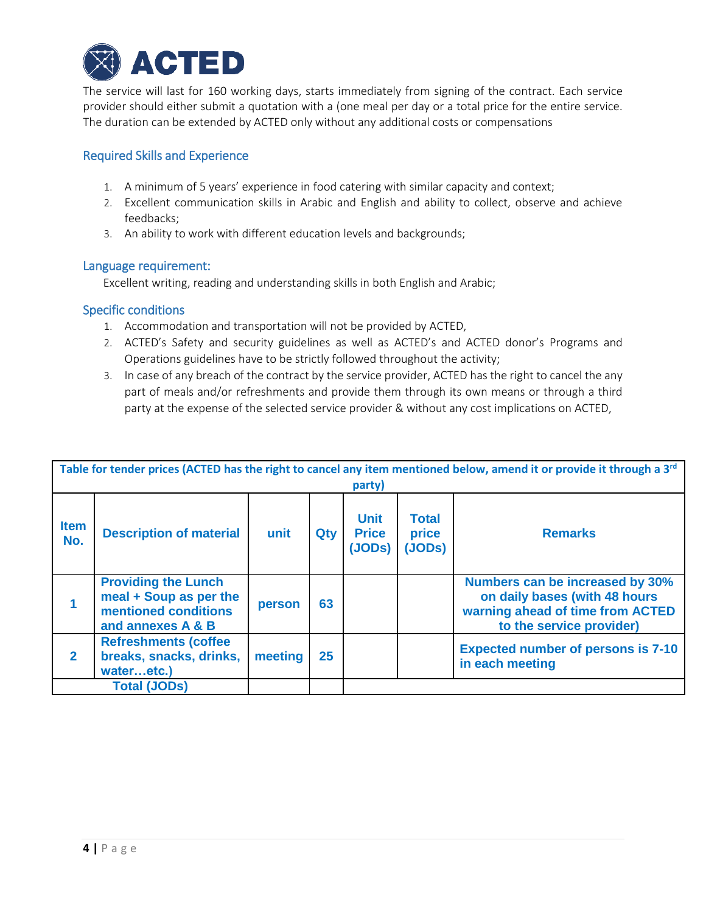

The service will last for 160 working days, starts immediately from signing of the contract. Each service provider should either submit a quotation with a (one meal per day or a total price for the entire service. The duration can be extended by ACTED only without any additional costs or compensations

#### Required Skills and Experience

- 1. A minimum of 5 years' experience in food catering with similar capacity and context;
- 2. Excellent communication skills in Arabic and English and ability to collect, observe and achieve feedbacks;
- 3. An ability to work with different education levels and backgrounds;

#### Language requirement:

Excellent writing, reading and understanding skills in both English and Arabic;

#### Specific conditions

- 1. Accommodation and transportation will not be provided by ACTED,
- 2. ACTED's Safety and security guidelines as well as ACTED's and ACTED donor's Programs and Operations guidelines have to be strictly followed throughout the activity;
- 3. In case of any breach of the contract by the service provider, ACTED has the right to cancel the any part of meals and/or refreshments and provide them through its own means or through a third party at the expense of the selected service provider & without any cost implications on ACTED,

| Table for tender prices (ACTED has the right to cancel any item mentioned below, amend it or provide it through a 3 <sup>rd</sup><br>party) |                                                                                                   |         |     |                                       |                                 |                                                                                                                                  |  |
|---------------------------------------------------------------------------------------------------------------------------------------------|---------------------------------------------------------------------------------------------------|---------|-----|---------------------------------------|---------------------------------|----------------------------------------------------------------------------------------------------------------------------------|--|
| <b>Item</b><br>No.                                                                                                                          | <b>Description of material</b>                                                                    | unit    | Qty | <b>Unit</b><br><b>Price</b><br>(JODs) | <b>Total</b><br>price<br>(JODs) | <b>Remarks</b>                                                                                                                   |  |
|                                                                                                                                             | <b>Providing the Lunch</b><br>meal + Soup as per the<br>mentioned conditions<br>and annexes A & B | person  | 63  |                                       |                                 | Numbers can be increased by 30%<br>on daily bases (with 48 hours<br>warning ahead of time from ACTED<br>to the service provider) |  |
| $\mathbf{2}$                                                                                                                                | <b>Refreshments (coffee</b><br>breaks, snacks, drinks,<br>wateretc.)                              | meeting | 25  |                                       |                                 | <b>Expected number of persons is 7-10</b><br>in each meeting                                                                     |  |
| <b>Total (JODs)</b>                                                                                                                         |                                                                                                   |         |     |                                       |                                 |                                                                                                                                  |  |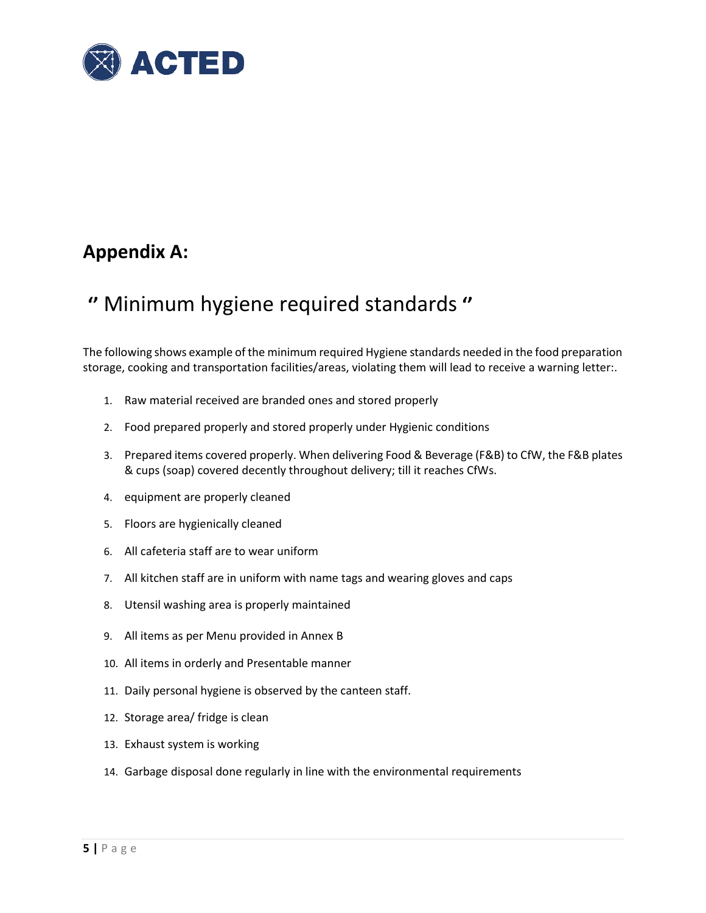

## **Appendix A:**

# **''** Minimum hygiene required standards **''**

The following shows example of the minimum required Hygiene standards needed in the food preparation storage, cooking and transportation facilities/areas, violating them will lead to receive a warning letter:.

- 1. Raw material received are branded ones and stored properly
- 2. Food prepared properly and stored properly under Hygienic conditions
- 3. Prepared items covered properly. When delivering Food & Beverage (F&B) to CfW, the F&B plates & cups (soap) covered decently throughout delivery; till it reaches CfWs.
- 4. equipment are properly cleaned
- 5. Floors are hygienically cleaned
- 6. All cafeteria staff are to wear uniform
- 7. All kitchen staff are in uniform with name tags and wearing gloves and caps
- 8. Utensil washing area is properly maintained
- 9. All items as per Menu provided in Annex B
- 10. All items in orderly and Presentable manner
- 11. Daily personal hygiene is observed by the canteen staff.
- 12. Storage area/ fridge is clean
- 13. Exhaust system is working
- 14. Garbage disposal done regularly in line with the environmental requirements